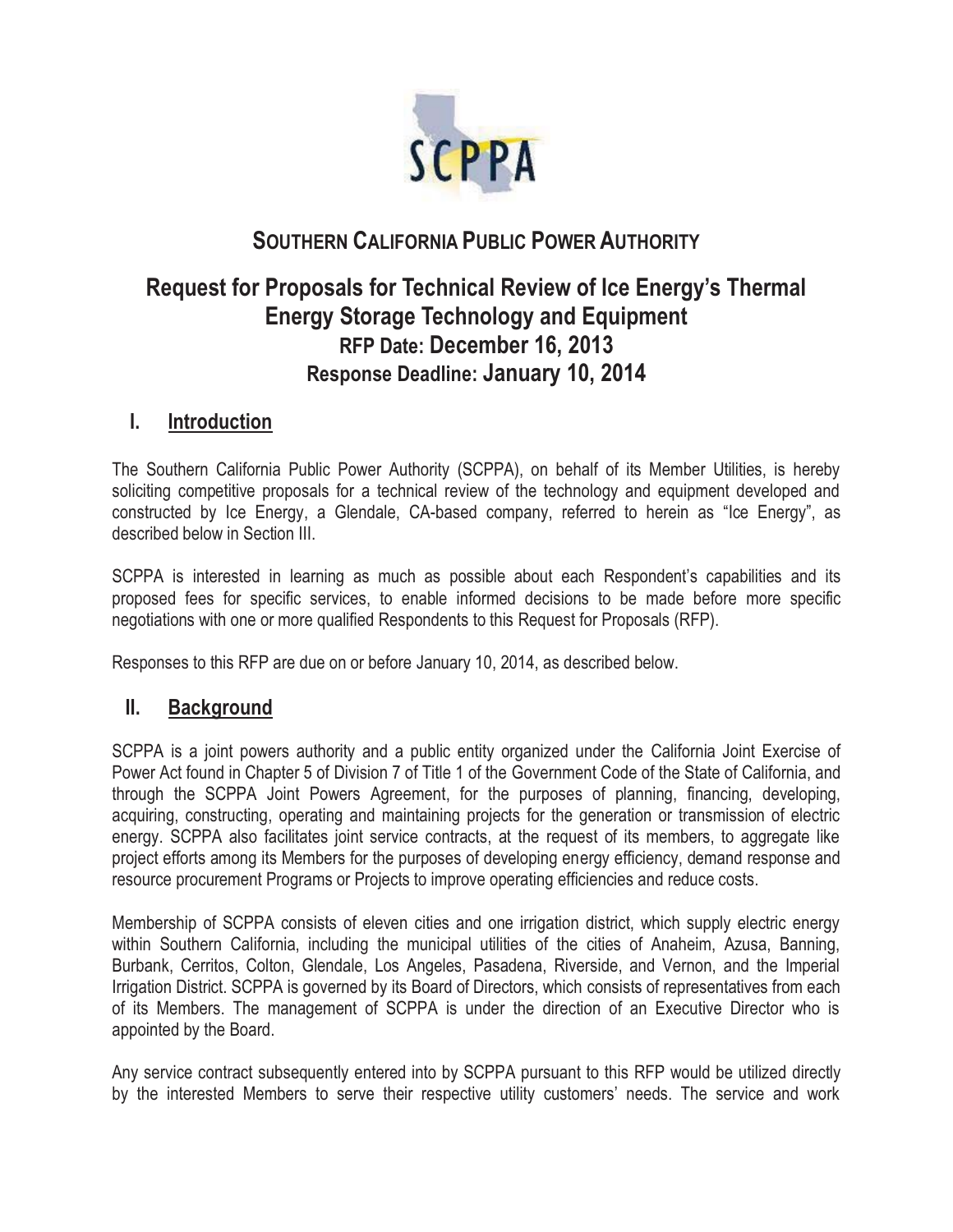

# **SOUTHERN CALIFORNIA PUBLIC POWER AUTHORITY**

# **Request for Proposals for Technical Review of Ice Energy's Thermal Energy Storage Technology and Equipment RFP Date: December 16, 2013 Response Deadline: January 10, 2014**

## **I. Introduction**

The Southern California Public Power Authority (SCPPA), on behalf of its Member Utilities, is hereby soliciting competitive proposals for a technical review of the technology and equipment developed and constructed by Ice Energy, a Glendale, CA-based company, referred to herein as "Ice Energy", as described below in Section III.

SCPPA is interested in learning as much as possible about each Respondent's capabilities and its proposed fees for specific services, to enable informed decisions to be made before more specific negotiations with one or more qualified Respondents to this Request for Proposals (RFP).

Responses to this RFP are due on or before January 10, 2014, as described below.

### **II. Background**

SCPPA is a joint powers authority and a public entity organized under the California Joint Exercise of Power Act found in Chapter 5 of Division 7 of Title 1 of the Government Code of the State of California, and through the SCPPA Joint Powers Agreement, for the purposes of planning, financing, developing, acquiring, constructing, operating and maintaining projects for the generation or transmission of electric energy. SCPPA also facilitates joint service contracts, at the request of its members, to aggregate like project efforts among its Members for the purposes of developing energy efficiency, demand response and resource procurement Programs or Projects to improve operating efficiencies and reduce costs.

Membership of SCPPA consists of eleven cities and one irrigation district, which supply electric energy within Southern California, including the municipal utilities of the cities of Anaheim, Azusa, Banning, Burbank, Cerritos, Colton, Glendale, Los Angeles, Pasadena, Riverside, and Vernon, and the Imperial Irrigation District. SCPPA is governed by its Board of Directors, which consists of representatives from each of its Members. The management of SCPPA is under the direction of an Executive Director who is appointed by the Board.

Any service contract subsequently entered into by SCPPA pursuant to this RFP would be utilized directly by the interested Members to serve their respective utility customers' needs. The service and work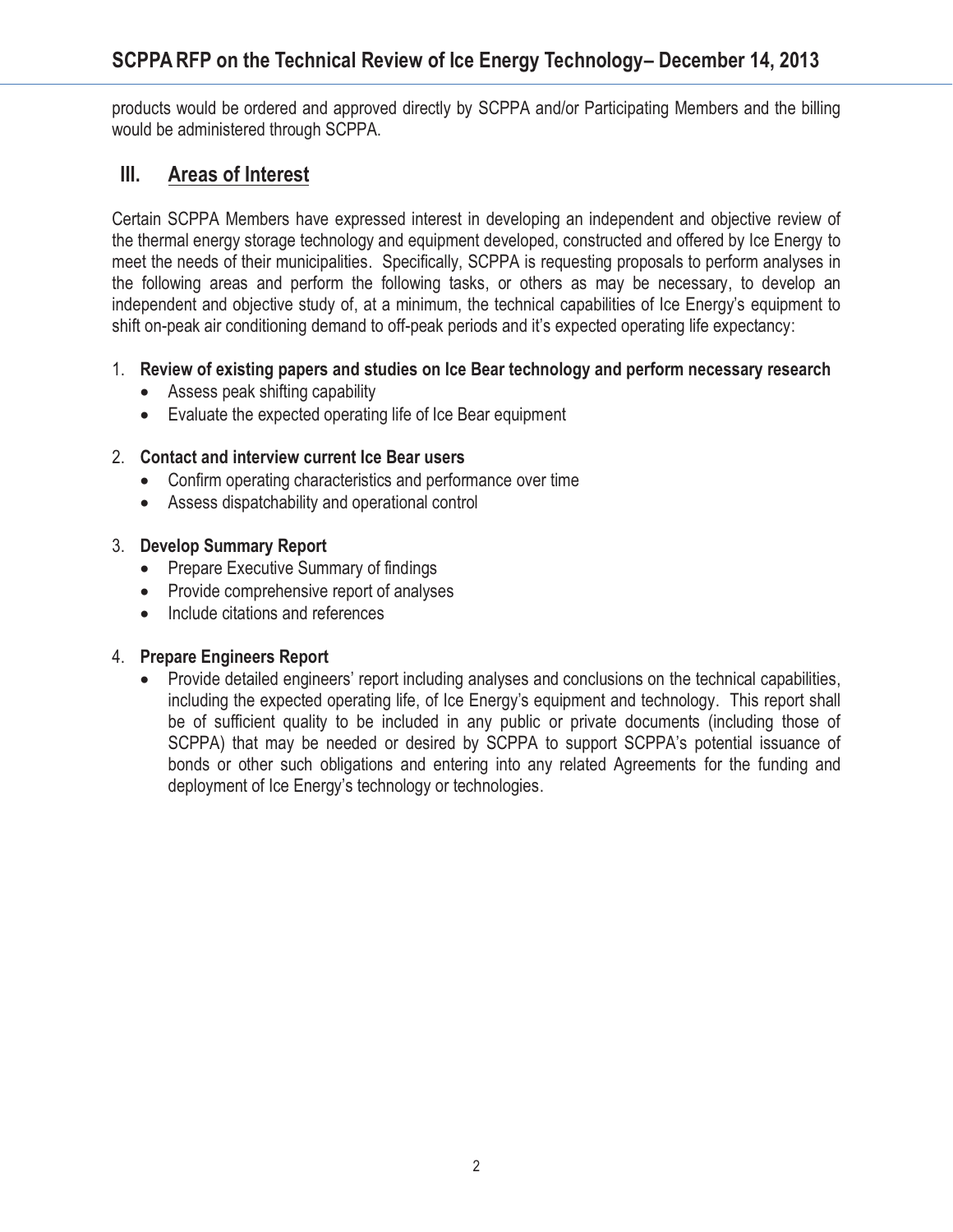products would be ordered and approved directly by SCPPA and/or Participating Members and the billing would be administered through SCPPA.

## **III. Areas of Interest**

Certain SCPPA Members have expressed interest in developing an independent and objective review of the thermal energy storage technology and equipment developed, constructed and offered by Ice Energy to meet the needs of their municipalities. Specifically, SCPPA is requesting proposals to perform analyses in the following areas and perform the following tasks, or others as may be necessary, to develop an independent and objective study of, at a minimum, the technical capabilities of Ice Energy's equipment to shift on-peak air conditioning demand to off-peak periods and it's expected operating life expectancy:

#### 1. **Review of existing papers and studies on Ice Bear technology and perform necessary research**

- Assess peak shifting capability
- Evaluate the expected operating life of Ice Bear equipment

#### 2. **Contact and interview current Ice Bear users**

- Confirm operating characteristics and performance over time
- Assess dispatchability and operational control

#### 3. **Develop Summary Report**

- Prepare Executive Summary of findings
- Provide comprehensive report of analyses
- Include citations and references

### 4. **Prepare Engineers Report**

- Provide detailed engineers' report including analyses and conclusions on the technical capabilities, including the expected operating life, of Ice Energy's equipment and technology. This report shall be of sufficient quality to be included in any public or private documents (including those of SCPPA) that may be needed or desired by SCPPA to support SCPPA's potential issuance of bonds or other such obligations and entering into any related Agreements for the funding and deployment of Ice Energy's technology or technologies.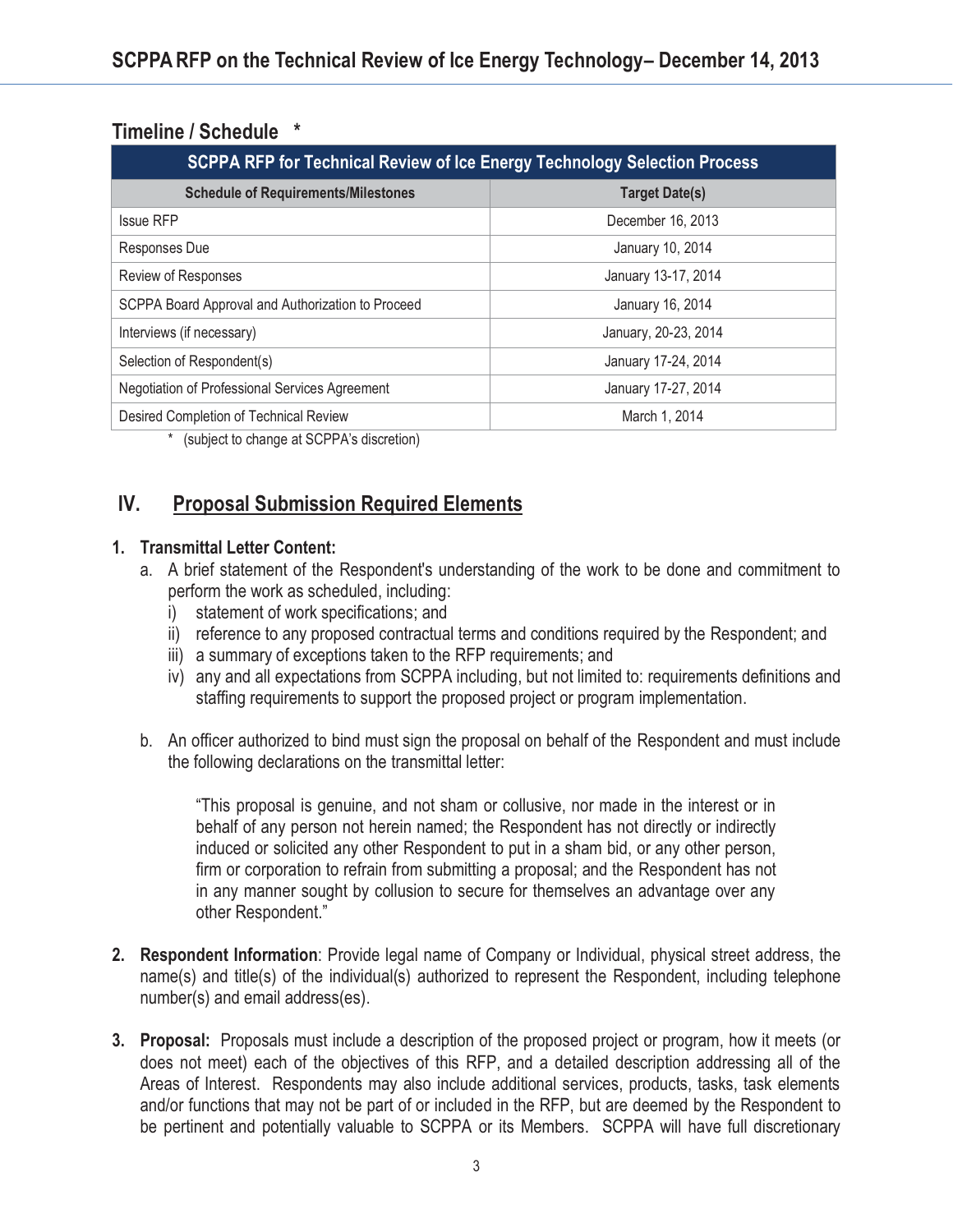## **Timeline / Schedule \***

| SCPPA RFP for Technical Review of Ice Energy Technology Selection Process |                       |
|---------------------------------------------------------------------------|-----------------------|
| <b>Schedule of Requirements/Milestones</b>                                | <b>Target Date(s)</b> |
| <b>Issue RFP</b>                                                          | December 16, 2013     |
| Responses Due                                                             | January 10, 2014      |
| <b>Review of Responses</b>                                                | January 13-17, 2014   |
| SCPPA Board Approval and Authorization to Proceed                         | January 16, 2014      |
| Interviews (if necessary)                                                 | January, 20-23, 2014  |
| Selection of Respondent(s)                                                | January 17-24, 2014   |
| Negotiation of Professional Services Agreement                            | January 17-27, 2014   |
| Desired Completion of Technical Review                                    | March 1, 2014         |

\* (subject to change at SCPPA's discretion)

# **IV. Proposal Submission Required Elements**

#### **1. Transmittal Letter Content:**

- a. A brief statement of the Respondent's understanding of the work to be done and commitment to perform the work as scheduled, including:
	- i) statement of work specifications; and
	- ii) reference to any proposed contractual terms and conditions required by the Respondent; and
	- iii) a summary of exceptions taken to the RFP requirements; and
	- iv) any and all expectations from SCPPA including, but not limited to: requirements definitions and staffing requirements to support the proposed project or program implementation.
- b. An officer authorized to bind must sign the proposal on behalf of the Respondent and must include the following declarations on the transmittal letter:

"This proposal is genuine, and not sham or collusive, nor made in the interest or in behalf of any person not herein named; the Respondent has not directly or indirectly induced or solicited any other Respondent to put in a sham bid, or any other person, firm or corporation to refrain from submitting a proposal; and the Respondent has not in any manner sought by collusion to secure for themselves an advantage over any other Respondent."

- **2. Respondent Information**: Provide legal name of Company or Individual, physical street address, the name(s) and title(s) of the individual(s) authorized to represent the Respondent, including telephone number(s) and email address(es).
- **3. Proposal:** Proposals must include a description of the proposed project or program, how it meets (or does not meet) each of the objectives of this RFP, and a detailed description addressing all of the Areas of Interest. Respondents may also include additional services, products, tasks, task elements and/or functions that may not be part of or included in the RFP, but are deemed by the Respondent to be pertinent and potentially valuable to SCPPA or its Members. SCPPA will have full discretionary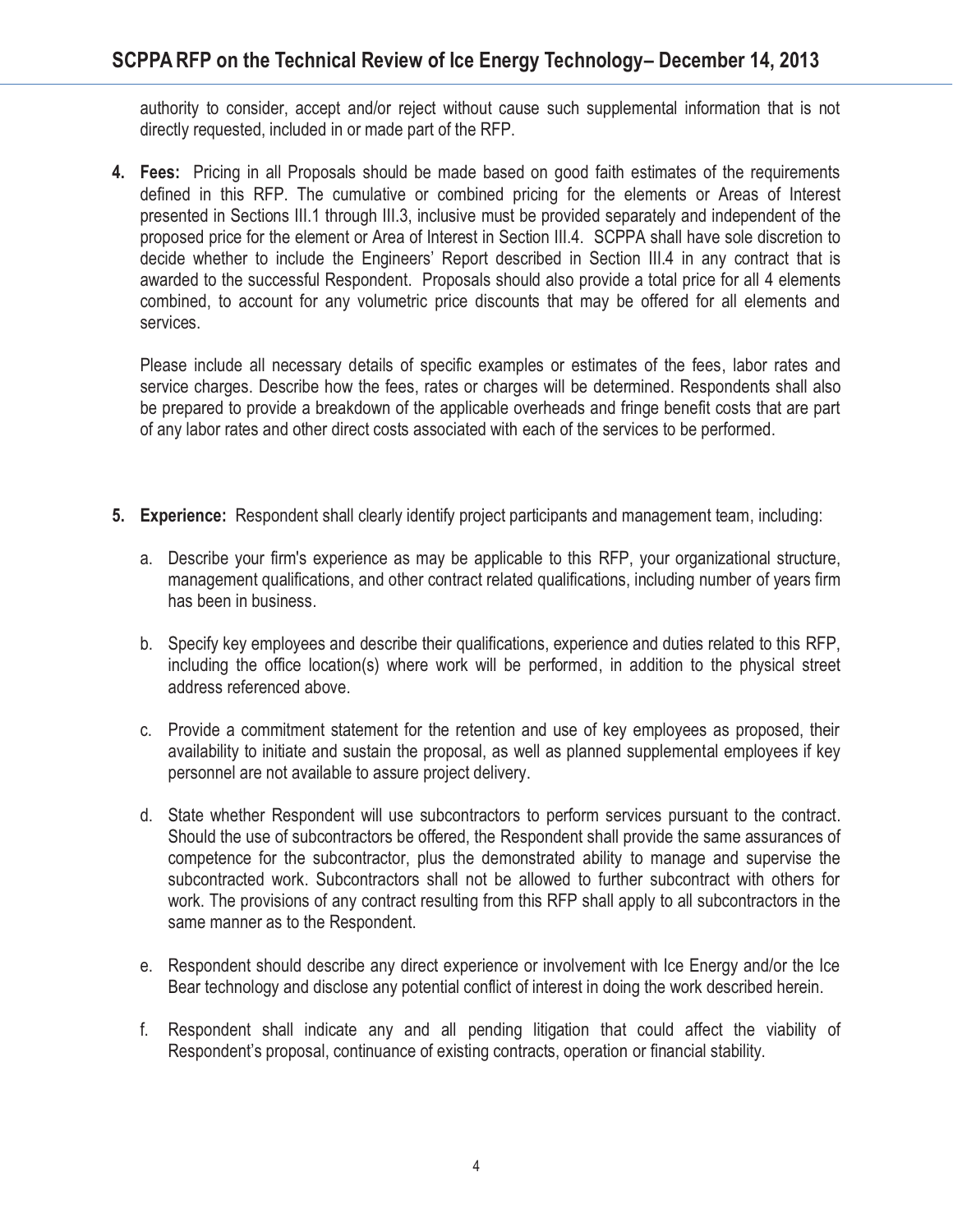authority to consider, accept and/or reject without cause such supplemental information that is not directly requested, included in or made part of the RFP.

**4. Fees:** Pricing in all Proposals should be made based on good faith estimates of the requirements defined in this RFP. The cumulative or combined pricing for the elements or Areas of Interest presented in Sections III.1 through III.3, inclusive must be provided separately and independent of the proposed price for the element or Area of Interest in Section III.4. SCPPA shall have sole discretion to decide whether to include the Engineers' Report described in Section III.4 in any contract that is awarded to the successful Respondent. Proposals should also provide a total price for all 4 elements combined, to account for any volumetric price discounts that may be offered for all elements and services.

Please include all necessary details of specific examples or estimates of the fees, labor rates and service charges. Describe how the fees, rates or charges will be determined. Respondents shall also be prepared to provide a breakdown of the applicable overheads and fringe benefit costs that are part of any labor rates and other direct costs associated with each of the services to be performed.

- **5. Experience:** Respondent shall clearly identify project participants and management team, including:
	- a. Describe your firm's experience as may be applicable to this RFP, your organizational structure, management qualifications, and other contract related qualifications, including number of years firm has been in business.
	- b. Specify key employees and describe their qualifications, experience and duties related to this RFP, including the office location(s) where work will be performed, in addition to the physical street address referenced above.
	- c. Provide a commitment statement for the retention and use of key employees as proposed, their availability to initiate and sustain the proposal, as well as planned supplemental employees if key personnel are not available to assure project delivery.
	- d. State whether Respondent will use subcontractors to perform services pursuant to the contract. Should the use of subcontractors be offered, the Respondent shall provide the same assurances of competence for the subcontractor, plus the demonstrated ability to manage and supervise the subcontracted work. Subcontractors shall not be allowed to further subcontract with others for work. The provisions of any contract resulting from this RFP shall apply to all subcontractors in the same manner as to the Respondent.
	- e. Respondent should describe any direct experience or involvement with Ice Energy and/or the Ice Bear technology and disclose any potential conflict of interest in doing the work described herein.
	- f. Respondent shall indicate any and all pending litigation that could affect the viability of Respondent's proposal, continuance of existing contracts, operation or financial stability.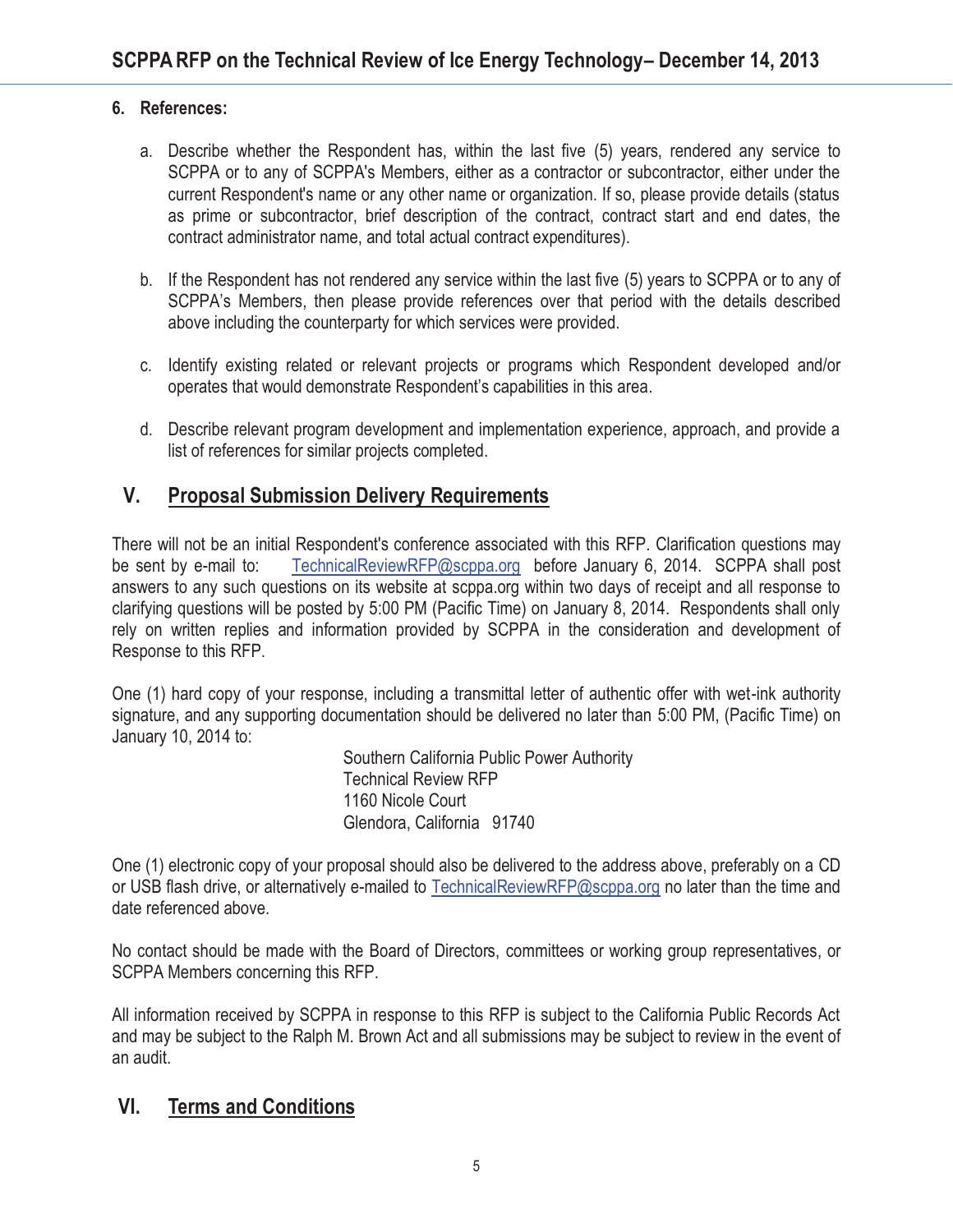#### **6. References:**

- a. Describe whether the Respondent has, within the last five (5) years, rendered any service to SCPPA or to any of SCPPA's Members, either as a contractor or subcontractor, either under the current Respondent's name or any other name or organization. If so, please provide details (status as prime or subcontractor, brief description of the contract, contract start and end dates, the contract administrator name, and total actual contract expenditures).
- b. If the Respondent has not rendered any service within the last five (5) years to SCPPA or to any of SCPPA's Members, then please provide references over that period with the details described above including the counterparty for which services were provided.
- c. Identify existing related or relevant projects or programs which Respondent developed and/or operates that would demonstrate Respondent's capabilities in this area.
- d. Describe relevant program development and implementation experience, approach, and provide a list of references for similar projects completed.

## **V. Proposal Submission Delivery Requirements**

There will not be an initial Respondent's conference associated with this RFP. Clarification questions may be sent by e-mail to: TechnicalReviewRFP@scppa.org before January 6, 2014. SCPPA shall post answers to any such questions on its website at scppa.org within two days of receipt and all response to clarifying questions will be posted by 5:00 PM (Pacific Time) on January 8, 2014. Respondents shall only rely on written replies and information provided by SCPPA in the consideration and development of Response to this RFP.

One (1) hard copy of your response, including a transmittal letter of authentic offer with wet-ink authority signature, and any supporting documentation should be delivered no later than 5:00 PM, (Pacific Time) on January 10, 2014 to:

Southern California Public Power Authority Technical Review RFP 1160 Nicole Court Glendora, California 91740

One (1) electronic copy of your proposal should also be delivered to the address above, preferably on a CD or USB flash drive, or alternatively e-mailed to TechnicalReviewRFP@scppa.org no later than the time and date referenced above.

No contact should be made with the Board of Directors, committees or working group representatives, or SCPPA Members concerning this RFP.

All information received by SCPPA in response to this RFP is subject to the California Public Records Act and may be subject to the Ralph M. Brown Act and all submissions may be subject to review in the event of an audit.

## **VI. Terms and Conditions**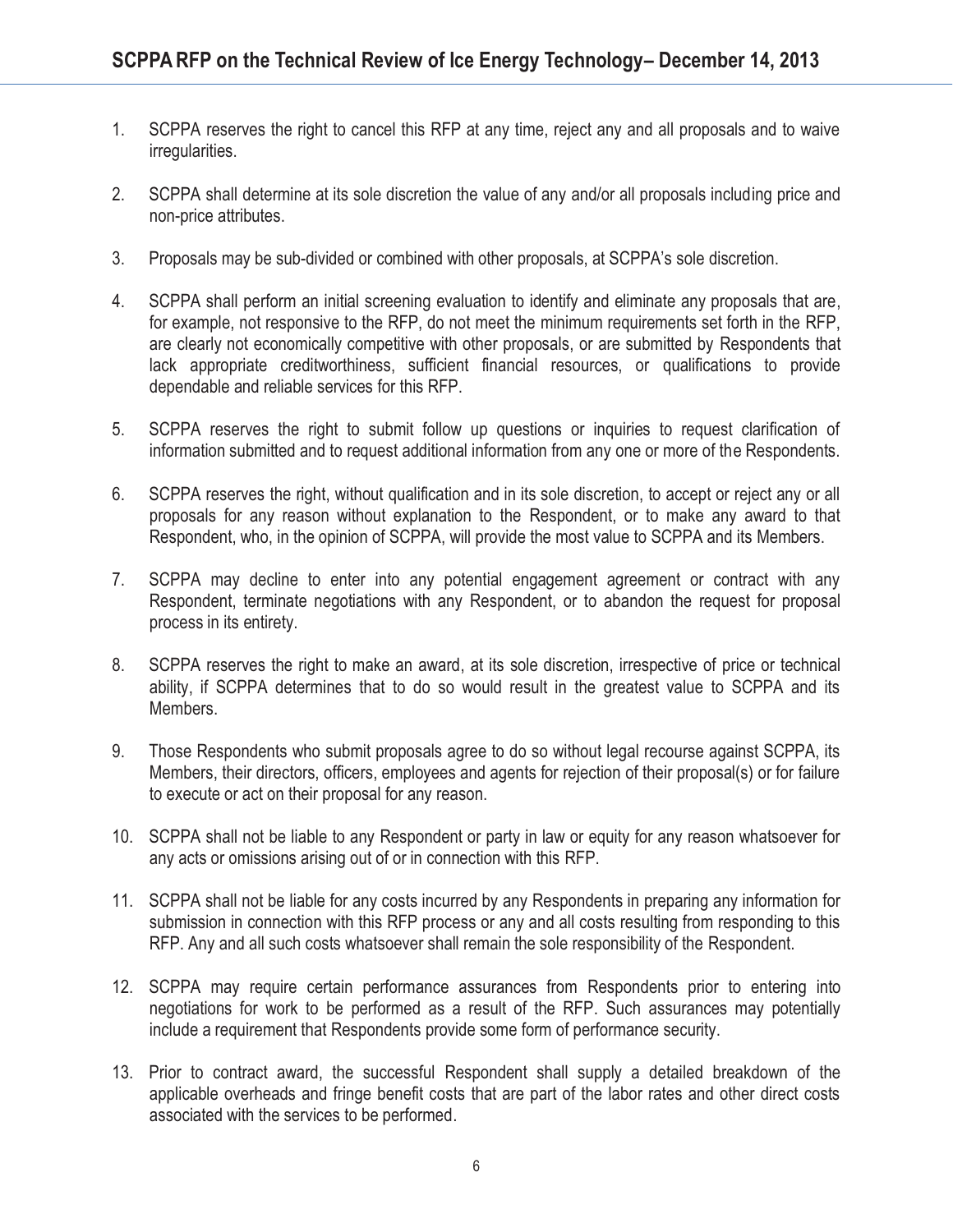- 1. SCPPA reserves the right to cancel this RFP at any time, reject any and all proposals and to waive irregularities.
- 2. SCPPA shall determine at its sole discretion the value of any and/or all proposals including price and non-price attributes.
- 3. Proposals may be sub-divided or combined with other proposals, at SCPPA's sole discretion.
- 4. SCPPA shall perform an initial screening evaluation to identify and eliminate any proposals that are, for example, not responsive to the RFP, do not meet the minimum requirements set forth in the RFP, are clearly not economically competitive with other proposals, or are submitted by Respondents that lack appropriate creditworthiness, sufficient financial resources, or qualifications to provide dependable and reliable services for this RFP.
- 5. SCPPA reserves the right to submit follow up questions or inquiries to request clarification of information submitted and to request additional information from any one or more of the Respondents.
- 6. SCPPA reserves the right, without qualification and in its sole discretion, to accept or reject any or all proposals for any reason without explanation to the Respondent, or to make any award to that Respondent, who, in the opinion of SCPPA, will provide the most value to SCPPA and its Members.
- 7. SCPPA may decline to enter into any potential engagement agreement or contract with any Respondent, terminate negotiations with any Respondent, or to abandon the request for proposal process in its entirety.
- 8. SCPPA reserves the right to make an award, at its sole discretion, irrespective of price or technical ability, if SCPPA determines that to do so would result in the greatest value to SCPPA and its Members.
- 9. Those Respondents who submit proposals agree to do so without legal recourse against SCPPA, its Members, their directors, officers, employees and agents for rejection of their proposal(s) or for failure to execute or act on their proposal for any reason.
- 10. SCPPA shall not be liable to any Respondent or party in law or equity for any reason whatsoever for any acts or omissions arising out of or in connection with this RFP.
- 11. SCPPA shall not be liable for any costs incurred by any Respondents in preparing any information for submission in connection with this RFP process or any and all costs resulting from responding to this RFP. Any and all such costs whatsoever shall remain the sole responsibility of the Respondent.
- 12. SCPPA may require certain performance assurances from Respondents prior to entering into negotiations for work to be performed as a result of the RFP. Such assurances may potentially include a requirement that Respondents provide some form of performance security.
- 13. Prior to contract award, the successful Respondent shall supply a detailed breakdown of the applicable overheads and fringe benefit costs that are part of the labor rates and other direct costs associated with the services to be performed.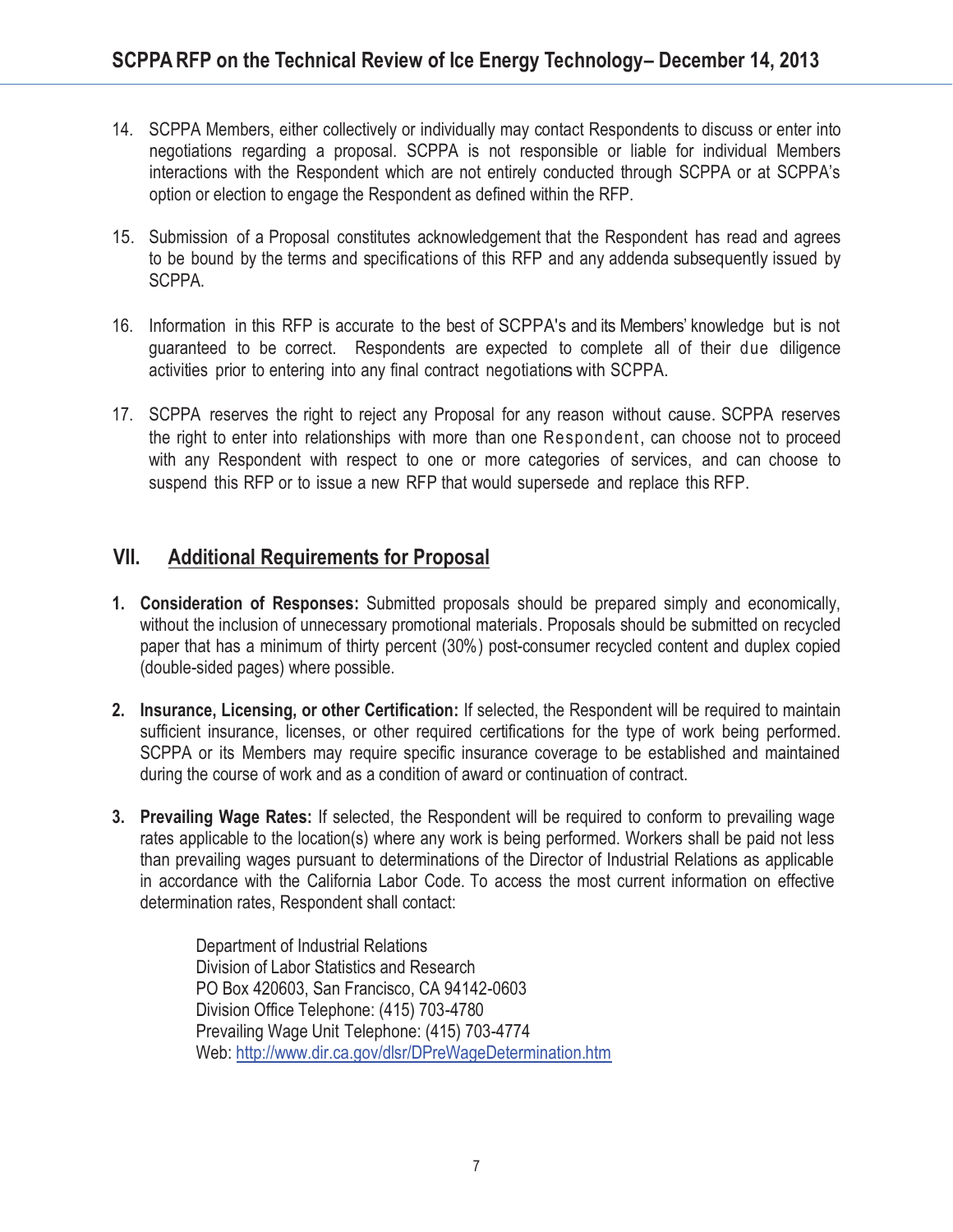- 14. SCPPA Members, either collectively or individually may contact Respondents to discuss or enter into negotiations regarding a proposal. SCPPA is not responsible or liable for individual Members interactions with the Respondent which are not entirely conducted through SCPPA or at SCPPA's option or election to engage the Respondent as defined within the RFP.
- 15. Submission of a Proposal constitutes acknowledgement that the Respondent has read and agrees to be bound by the terms and specifications of this RFP and any addenda subsequently issued by SCPPA.
- 16. Information in this RFP is accurate to the best of SCPPA's and its Members' knowledge but is not guaranteed to be correct. Respondents are expected to complete all of their due diligence activities prior to entering into any final contract negotiations with SCPPA.
- 17. SCPPA reserves the right to reject any Proposal for any reason without cause. SCPPA reserves the right to enter into relationships with more than one Respondent, can choose not to proceed with any Respondent with respect to one or more categories of services, and can choose to suspend this RFP or to issue a new RFP that would supersede and replace this RFP.

## **VII. Additional Requirements for Proposal**

- **1. Consideration of Responses:** Submitted proposals should be prepared simply and economically, without the inclusion of unnecessary promotional materials. Proposals should be submitted on recycled paper that has a minimum of thirty percent (30%) post-consumer recycled content and duplex copied (double-sided pages) where possible.
- **2. Insurance, Licensing, or other Certification:** If selected, the Respondent will be required to maintain sufficient insurance, licenses, or other required certifications for the type of work being performed. SCPPA or its Members may require specific insurance coverage to be established and maintained during the course of work and as a condition of award or continuation of contract.
- **3. Prevailing Wage Rates:** If selected, the Respondent will be required to conform to prevailing wage rates applicable to the location(s) where any work is being performed. Workers shall be paid not less than prevailing wages pursuant to determinations of the Director of Industrial Relations as applicable in accordance with the California Labor Code. To access the most current information on effective determination rates, Respondent shall contact:

Department of Industrial Relations Division of Labor Statistics and Research PO Box 420603, San Francisco, CA 94142-0603 Division Office Telephone: (415) 703-4780 Prevailing Wage Unit Telephone: (415) 703-4774 Web: http://www.dir.ca.gov/dlsr/DPreWageDetermination.htm